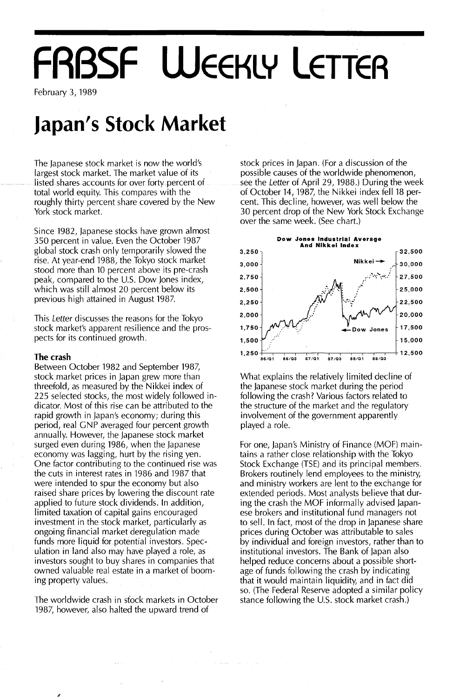# **FRBSF WEEKLY LETTER**

February 3, 1989

## **Japan's Stock Market**

The Japanese stock market is now the world's largest stock market. The market value of its listed shares accounts for over forty percent of total world equity. This compares with the roughly thirty percent share covered by the New York stock market.

Since 1982, Japanese stocks have grown almost 350 percent in value. Even the October 1987 global stock crash only temporarily slowed the rise. At year-end 1988, the Tokyo stock market stood more than 10 percent above its pre-crash peak, compared to the U.S. Dow Jones index, which was still almost 20 percent below its previous high attained in August 1987.

This Letter discusses the reasons for the Tokyo stock market's apparent resilience and the prospects for its continued growth.

### **The crash**

Between October 1982 and September 1987, stock market prices in Japan grew more than threefold, as measured by the Nikkei index of 225 selected stocks, the most widely followed indicator. Most of this rise can be attributed to the rapid growth in Japan's economy; during this period, real GNP averaged four percent growth annually. However, the Japanese stock market surged even during 1986, when the Japanese economy was lagging, hurt by the rising yen. One factor contributing to the continued rise was the cuts in interest rates in 1986 and 1987 that were intended to spur the economy but also raised share prices by lowering the discount rate applied to future stock dividends. In addition, limited taxation of capital gains encouraged investment in the stock market, particularly as ongoing financial market deregulation made funds more liquid for potential investors. Speculation in land also may have played a role, as investors sought to buy shares in companies that owned valuable real estate in a market of booming property values.

The worldwide crash in sfock markets in October 1987, however, also halted the upward trend of

stock prices in Japan. (For a discussion of the possible causes of the worldwide phenomenon, see the Letter of April 29, 1988.) During the week of October 14, 1987, the Nikkei index fell 18 percent. This decline, however, was well below the 30 percent drop of the New York Stock Exchange over the same week. (See chart.)



What explains the relatively limited decline of the Japanese stock market during the period following the crash? Various factors related to the structure of the market and the regulatory involvement of the government apparently played a role.

For one, Japan's Ministry of Finance (MOF) maintains a rather close relationship with the Tokyo Stock Exchange (TSE) and its principal members. Brokers routinely lend employees to the ministry, and ministry workers are lent to the exchange for extended periods. Most analysts believe that during the crash the MOF informally advised Japanese brokers and institutional fund managers not to sell. In fact, most of the drop in Japanese share prices during October was attributable to sales by individual and foreign investors, rather than to institutional investors. The Bank of Japan also helped reduce concerns about a possible shortage of funds following the crash by indicating that it would maintain liquidity, and in fact did so. (The Federal Reserve adopted a similar policy stance following the U.S. stock market crash.)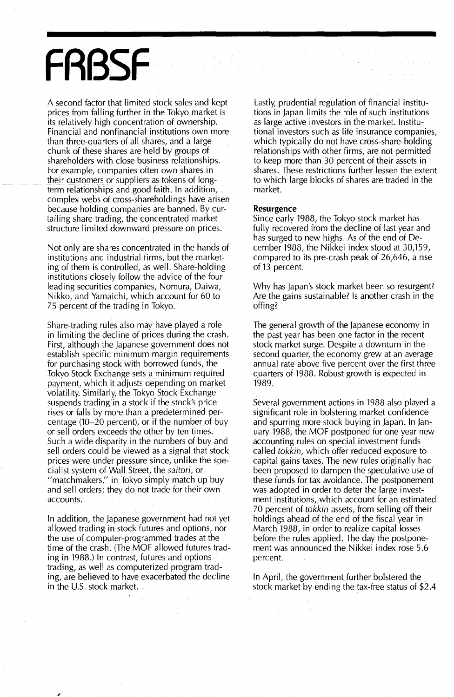## **FRBSF**

A second factor that limited stock sales and kept prices from falling further in the Tokyo market is its relatively high concentration of ownership. Financial and nonfinancial institutions own more than three-quarters of all shares, and a large chunk of these shares are held by groups of shareholders with close business relationships. For example, companies often own shares in their customers or suppliers as tokens of longterm relationships and good faith. In addition, complex webs of cross-shareholdings have arisen because holding companies are banned. By curtailing share trading, the concentrated market structure limited downward pressure on prices.

Not only are shares concentrated in the hands of institutions and industrial firms, but the marketing of them is controlled, as well. Share-holding institutions closely follow the advice of the four leading securities companies, Nomura, Daiwa, Nikko, and Yamaichi, which account for 60 to 75 percent of the trading in Tokyo.

Share-trading rules also may have played a role in limiting the decline of prices during the crash. First, although the Japanese government does not establish specific minimum margin requirements for purchasing stock with borrowed funds, the Tokyo Stock Exchange sets a minimum required payment, which it adjusts depending on market volatility. Similarly, the Tokyo Stock Exchange suspends trading' in a stock if the stock's price rises or falls by more than a predetermined percentage (10-20 percent), or if the number of buy or sell orders exceeds the other by ten times. Such a wide disparity in the numbers of buy and sell orders could be viewed as a signal that stock prices were under pressure since, unlike the specialist system of Wall Street, the *saitori,* or "matchmakers," in Tokyo simply match up buy and sell orders; they do not trade for their own accounts.

In addition, the Japanese government had not yet allowed trading in stock futures and options, nor the use of computer-programmed trades at the time of the crash. (The MOF allowed futures trading in 1988.) In contrast, futures and options trading, as well as computerized program trading, are believed to have exacerbated the decline in the U.S. stock market.

Lastly, prudential regulation of financial institutions in Japan limits the role of such institutions as large active investors in the market. Institutional investors such as life insurance companies, which typically do not have cross-share-holding relationships with other firms, are not permitted to keep more than 30 percent of their assets in shares. These restrictions further lessen the extent to which large blocks of shares are traded in the market.

### **Resurgence**

Since early 1988, the Tokyo stock market has fully recovered from the decline of last year and has surged to new highs. As of the end of December 1988, the Nikkei index stood at 30,159, compared to its pre-crash peak of 26,646, a rise of 13 percent.

Why has Japan's stock market been so resurgent? Are the gains sustainable? Is another crash in the offing?

The general growth of the Japanese economy in the past year has been one factor in the recent stock market surge. Despite a downturn in the second quarter, the economy grew at an average annual rate above five percent over the first three quarters of 1988. Robust growth is expected in 1989.

Several government actions in 1988 also played a significant role in bolstering market confidence and spurring more stock buying in Japan. In January 1988, the MOF postponed for one year new accounting rules on special investment funds called *tokkin,* which offer reduced exposure to capital gains taxes. The new rules originally had been proposed to dampen the speculative use of these funds for tax avoidance. The postponement was adopted in order to deter the large investment institutions, which account for an estimated 70 percent of *tokkin* assets, from selling off their holdings ahead of the end of the fiscal year in March 1988, in order to realize capital losses before the rules applied. The day the postponement was announced the Nikkei index rose 5.6 percent.

In April, the government further bolstered the stock market by ending the tax-free status of \$2.4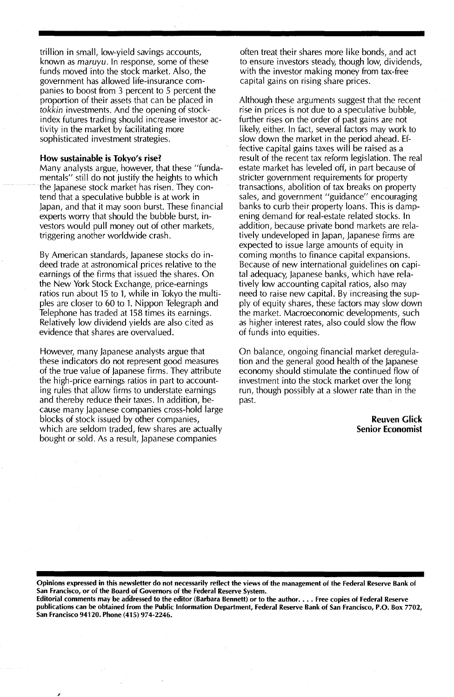trillion in small, low-yield savings accounts, known as maruyu. In response, some of these funds moved into the stock market. Also, the government has allowed life-insurance companies to boost from 3 percent to 5 percent the proportion of their assets that can be placed in tokkin investments. And the opening of stockindex futures trading should increase investor activity in the market by facilitating more sophisticated investment strategies.

### How sustainable is Tokyo's rise?

Many analysts argue, however, that these "fundamentals" still do not justify the heights to which the Japanese stock market has risen. They contend that a speculative bubble is at work in japan, and that it may soon burst. These financial experts worry that should the bubble burst, investors would pull money out of other markets, triggering another worldwide crash.

By American standards, japanese stocks do indeed trade at astronomical prices relative to the earnings of the firms that issued the shares. On the New York Stock Exchange, price-earnings ratios run about 15 to 1, while in Tokyo the multiples are closer to 60 to 1. Nippon Telegraph and Telephone has traded at 158 times its earnings. Relatively low dividend yields are also cited as evidence that shares are overvalued.

However, many japanese analysts argue that these indicators do not represent good measures of the true value of japanese firms. They attribute the high-price earnings ratios in part to accounting rules that allow firms to understate earnings and thereby reduce their taxes. In addition, because many japanese companies cross-hold large blocks of stock issued by other companies, which are seldom traded, few shares are actually bought or sold. As a result, japanese companies

often treat their shares more like bonds, and act to ensure investors steady, though low, dividends, with the investor making money from tax-free capital gains on rising share prices.

Although these arguments suggest that the recent rise in prices is not due to a speculative bubble, further rises on the order of past gains are not likely, either. In fact, several factors may work to slow down the market in the period ahead. Effective capital gains taxes will be raised as a result of the recent tax reform legislation. The real estate market has leveled off, in part because of stricter government requirements for property transactions, abolition of tax breaks on property sales, and government "guidance" encouraging banks to curb their property loans. This is dampening demand for real-estate related stocks. In addition, because private bond markets are relatively undeveloped in japan, japanese firms are expected to issue large amounts of equity in coming months to finance capital expansions. Because of new international guidelines on capital adequacy, japanese banks, which have relatively low accounting capital ratios, also may need to raise new capital. By increasing the supply of equity shares, these factors may slow down the market. Macroeconomic developments, such as higher interest rates, also could slow the flow of funds into equities.

On balance, ongoing financial market deregulation and the general good health of the japanese economy should stimulate the continued flow of investment into the stock market over the long run, though possibly at a slower rate than in the past.

> Reuven Glick Senior Economist

Opinions expressed in this newsletter do not necessarily reflect the views of the management of the Federal Reserve Bank of San Francisco, or of the Board of Governors of the Federal Reserve System.

Editorial comments may be adilressed to the editor (Barbara Bennett) or to the author.... Free copies of Federal Reserve publications can be obtained from the Public Information Department, Federal Reserve Bank of San Francisco, P.O. Box 7702, San Francisco 94120. Phone (415) 974-2246.